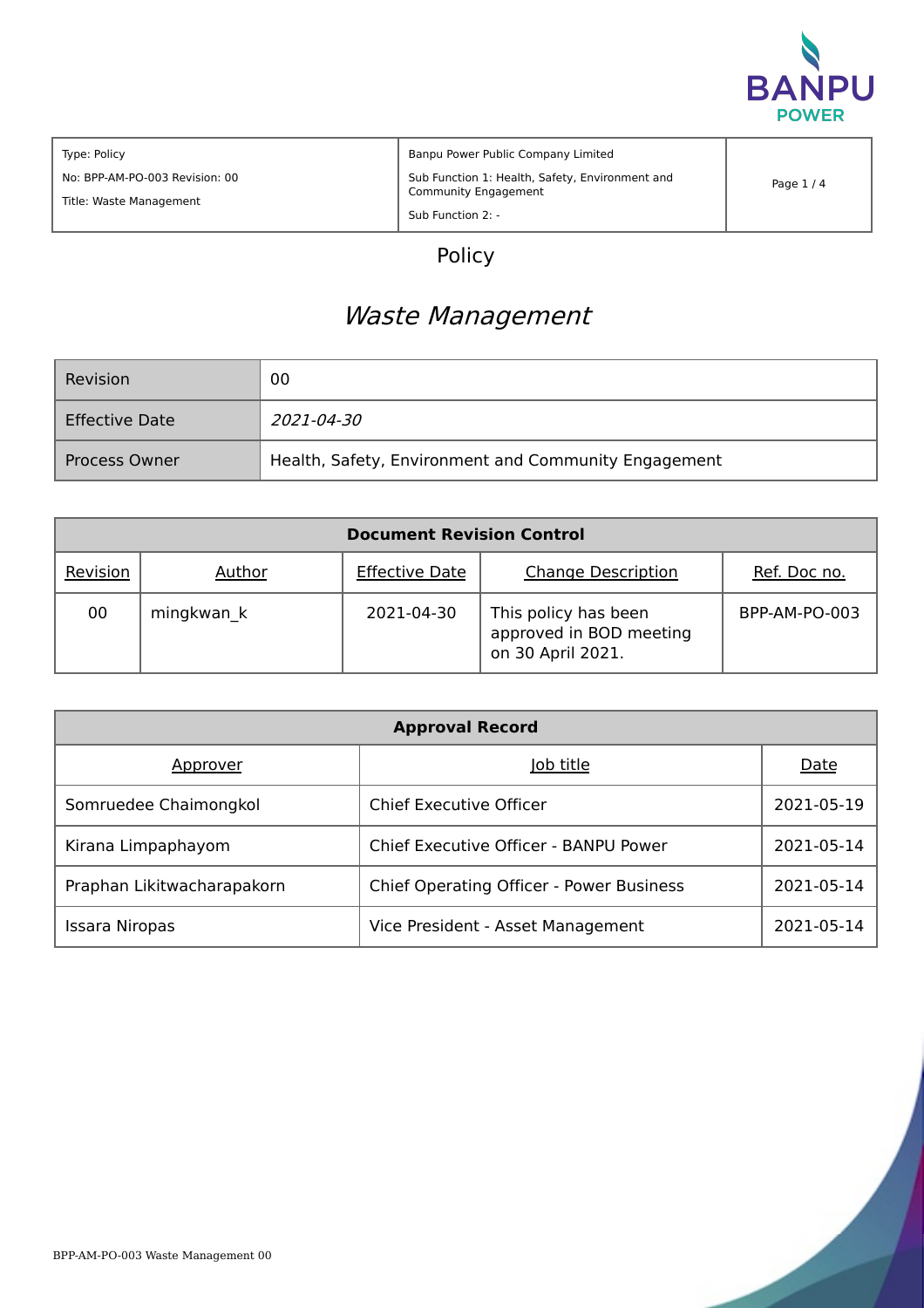

| Type: Policy                   | Banpu Power Public Company Limited              |            |
|--------------------------------|-------------------------------------------------|------------|
| No: BPP-AM-PO-003 Revision: 00 | Sub Function 1: Health, Safety, Environment and | Page $1/4$ |
| Title: Waste Management        | <b>Community Engagement</b>                     |            |
|                                | Sub Function 2: -                               |            |

# Policy

# Waste Management

| Revision              | 00                                                   |
|-----------------------|------------------------------------------------------|
| <b>Effective Date</b> | <i>2021-04-30</i>                                    |
| <b>Process Owner</b>  | Health, Safety, Environment and Community Engagement |

|          |            | <b>Document Revision Control</b> |                                                                      |               |
|----------|------------|----------------------------------|----------------------------------------------------------------------|---------------|
| Revision | Author     | <b>Effective Date</b>            | <b>Change Description</b>                                            | Ref. Doc no.  |
| 00       | mingkwan k | 2021-04-30                       | This policy has been<br>approved in BOD meeting<br>on 30 April 2021. | BPP-AM-PO-003 |

|                            | <b>Approval Record</b>                          |             |
|----------------------------|-------------------------------------------------|-------------|
| Approver                   | Job title                                       | <b>Date</b> |
| Somruedee Chaimongkol      | Chief Executive Officer                         | 2021-05-19  |
| Kirana Limpaphayom         | Chief Executive Officer - BANPU Power           | 2021-05-14  |
| Praphan Likitwacharapakorn | <b>Chief Operating Officer - Power Business</b> | 2021-05-14  |
| Issara Niropas             | Vice President - Asset Management               | 2021-05-14  |

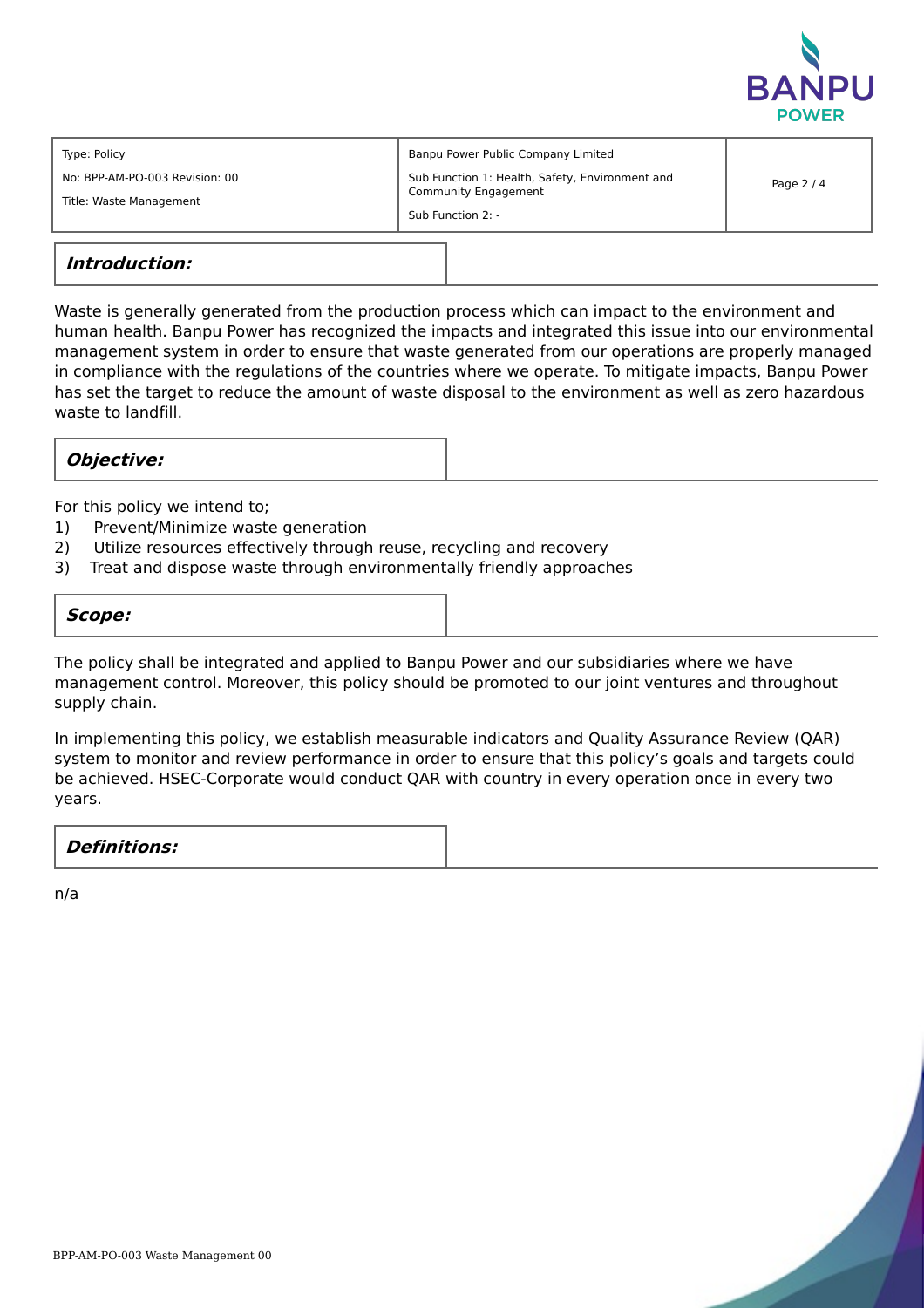

| Banpu Power Public Company Limited<br>Type: Policy<br>Sub Function 1: Health, Safety, Environment and<br>No: BPP-AM-PO-003 Revision: 00<br>Community Engagement<br>Title: Waste Management<br>Sub Function 2: - | Page $2/4$ |
|-----------------------------------------------------------------------------------------------------------------------------------------------------------------------------------------------------------------|------------|
|-----------------------------------------------------------------------------------------------------------------------------------------------------------------------------------------------------------------|------------|

# **Introduction:**

Waste is generally generated from the production process which can impact to the environment and human health. Banpu Power has recognized the impacts and integrated this issue into our environmental management system in order to ensure that waste generated from our operations are properly managed in compliance with the regulations of the countries where we operate. To mitigate impacts, Banpu Power has set the target to reduce the amount of waste disposal to the environment as well as zero hazardous waste to landfill.

## **Objective:**

For this policy we intend to;

- 1) Prevent/Minimize waste generation
- 2) Utilize resources effectively through reuse, recycling and recovery
- 3) Treat and dispose waste through environmentally friendly approaches

#### **Scope:**

The policy shall be integrated and applied to Banpu Power and our subsidiaries where we have management control. Moreover, this policy should be promoted to our joint ventures and throughout supply chain.

In implementing this policy, we establish measurable indicators and Quality Assurance Review (QAR) system to monitor and review performance in order to ensure that this policy's goals and targets could be achieved. HSEC-Corporate would conduct QAR with country in every operation once in every two years.

| <b>Definitions:</b> |  |
|---------------------|--|
|                     |  |

n/a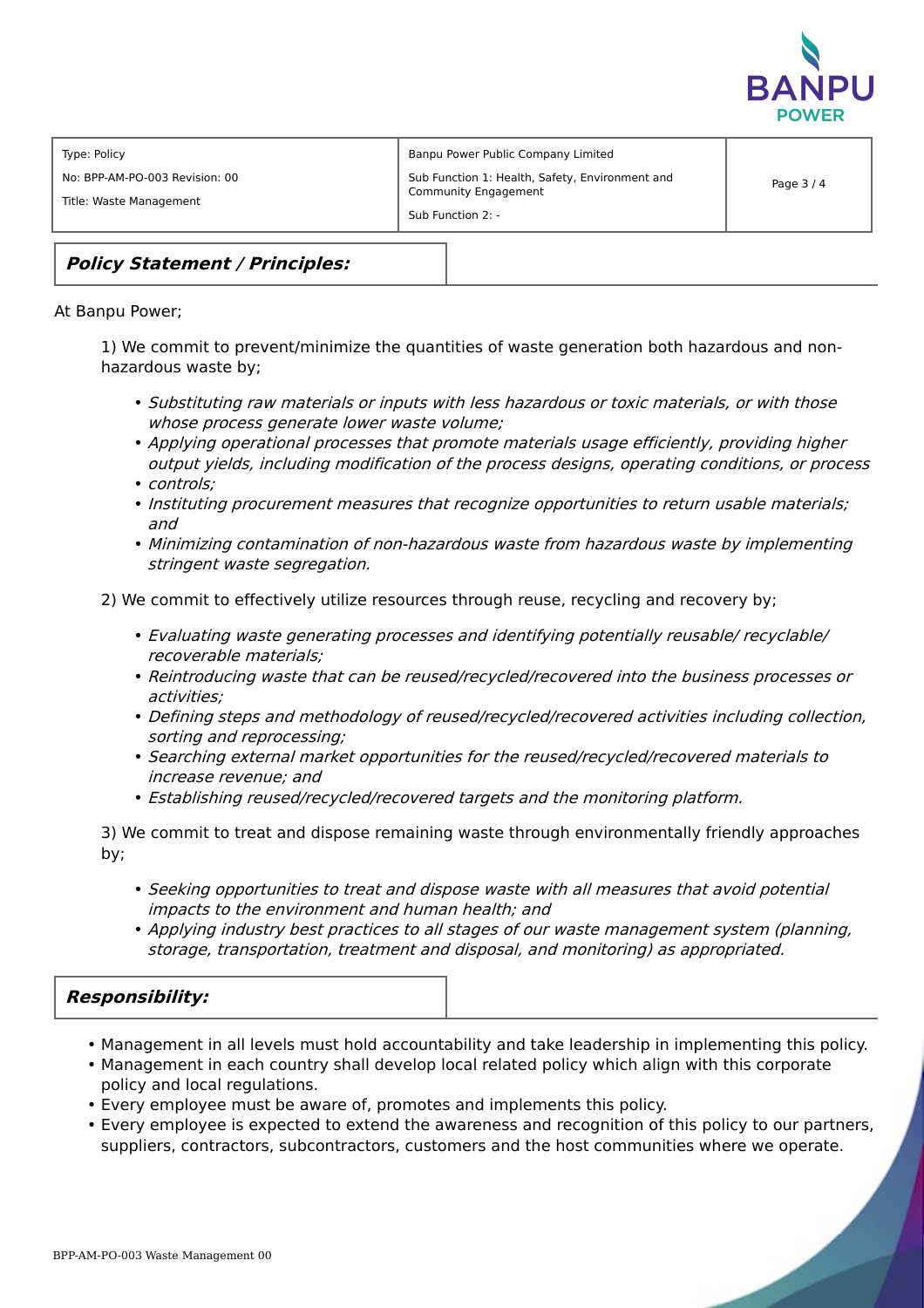

| Type: Policy                                              | Banpu Power Public Company Limited                                                           |          |
|-----------------------------------------------------------|----------------------------------------------------------------------------------------------|----------|
| No: BPP-AM-PO-003 Revision: 00<br>Title: Waste Management | Sub Function 1: Health, Safety, Environment and<br>Community Engagement<br>Sub Function 2: - | Page 3/4 |

# **Policy Statement / Principles:**

#### At Banpu Power;

1) We commit to prevent/minimize the quantities of waste generation both hazardous and nonhazardous waste by;

- Substituting raw materials or inputs with less hazardous or toxic materials, or with those whose process generate lower waste volume;
- Applying operational processes that promote materials usage efficiently, providing higher output yields, including modification of the process designs, operating conditions, or process
- controls;
- Instituting procurement measures that recognize opportunities to return usable materials; and
- Minimizing contamination of non-hazardous waste from hazardous waste by implementing stringent waste segregation.

2) We commit to effectively utilize resources through reuse, recycling and recovery by;

- Evaluating waste generating processes and identifying potentially reusable/ recyclable/ recoverable materials;
- Reintroducing waste that can be reused/recycled/recovered into the business processes or activities;
- Defining steps and methodology of reused/recycled/recovered activities including collection, sorting and reprocessing;
- Searching external market opportunities for the reused/recycled/recovered materials to increase revenue; and
- Establishing reused/recycled/recovered targets and the monitoring platform.

3) We commit to treat and dispose remaining waste through environmentally friendly approaches by;

- Seeking opportunities to treat and dispose waste with all measures that avoid potential impacts to the environment and human health; and
- Applying industry best practices to all stages of our waste management system (planning, storage, transportation, treatment and disposal, and monitoring) as appropriated.

## **Responsibility:**

- Management in all levels must hold accountability and take leadership in implementing this policy.
- Management in each country shall develop local related policy which align with this corporate policy and local regulations.
- Every employee must be aware of, promotes and implements this policy.
- Every employee is expected to extend the awareness and recognition of this policy to our partners, suppliers, contractors, subcontractors, customers and the host communities where we operate.